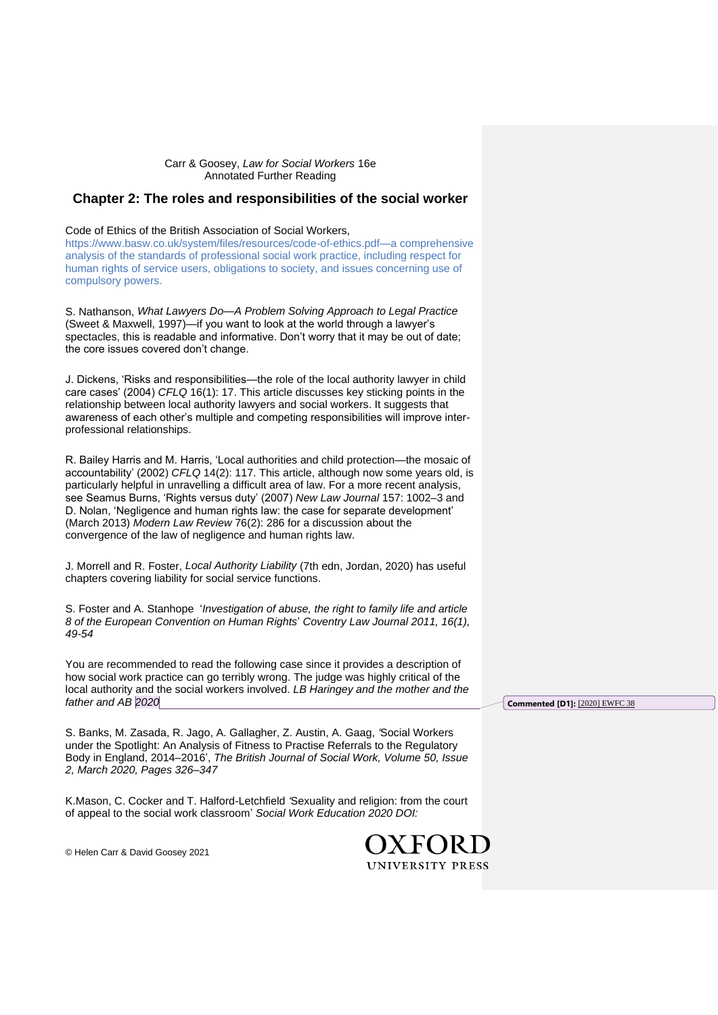## Carr & Goosey, *Law for Social Workers* 16e Annotated Further Reading

## **Chapter 2: The roles and responsibilities of the social worker**

## Code of Ethics of the British Association of Social Workers,

[https://www.basw.co.uk/system/files/resources/code-of-ethics.pdf—a](http://www.basw.co.uk—a/) comprehensive analysis of the standards of professional social work practice, including respect for human rights of service users, obligations to society, and issues concerning use of compulsory powers.

S. Nathanson, *What Lawyers Do—A Problem Solving Approach to Legal Practice* (Sweet & Maxwell, 1997)—if you want to look at the world through a lawyer's spectacles, this is readable and informative. Don't worry that it may be out of date; the core issues covered don't change.

J. Dickens, 'Risks and responsibilities—the role of the local authority lawyer in child care cases' (2004) *CFLQ* 16(1): 17. This article discusses key sticking points in the relationship between local authority lawyers and social workers. It suggests that awareness of each other's multiple and competing responsibilities will improve interprofessional relationships.

R. Bailey Harris and M. Harris, 'Local authorities and child protection—the mosaic of accountability' (2002) *CFLQ* 14(2): 117. This article, although now some years old, is particularly helpful in unravelling a difficult area of law. For a more recent analysis, see Seamus Burns, 'Rights versus duty' (2007) *New Law Journal* 157: 1002–3 and D. Nolan, 'Negligence and human rights law: the case for separate development' (March 2013) *Modern Law Review* 76(2): 286 for a discussion about the convergence of the law of negligence and human rights law.

J. Morrell and R. Foster, *Local Authority Liability* (7th edn, Jordan, 2020) has useful chapters covering liability for social service functions.

S. Foster and A. Stanhope '*Investigation of abuse, the right to family life and article 8 of the European Convention on Human Rights*' *Coventry Law Journal 2011, 16(1), 49-54*

You are recommended to read the following case since it provides a description of how social work practice can go terribly wrong. The judge was highly critical of the local authority and the social workers involved. *LB Haringey and the mother and the father and AB 2020*

S. Banks, M. Zasada, R. Jago, A. Gallagher, Z. Austin, A. Gaag, *'*Social Workers under the Spotlight: An Analysis of Fitness to Practise Referrals to the Regulatory Body in England, 2014–2016', *The British Journal of Social Work, Volume 50, Issue 2, March 2020, Pages 326–347*

K.Mason, C. Cocker and T. Halford-Letchfield *'*Sexuality and religion: from the court of appeal to the social work classroom' *Social Work Education 2020 DOI:* 

> OXEORD **UNIVERSITY PRESS**

**Commented [D1]:** [2020] EWFC 38

© Helen Carr & David Goosey 2021